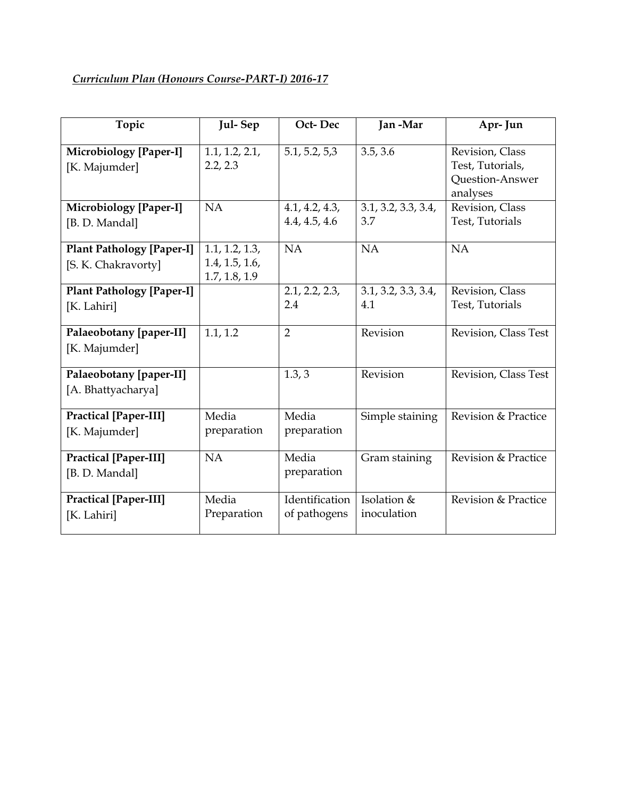## *Curriculum Plan (Honours Course-PART-I) 2016-17*

| Topic                                                   | Jul-Sep                                           | Oct-Dec                         | Jan-Mar                    | Apr-Jun                                                            |
|---------------------------------------------------------|---------------------------------------------------|---------------------------------|----------------------------|--------------------------------------------------------------------|
| Microbiology [Paper-I]<br>[K. Majumder]                 | 1.1, 1.2, 2.1,<br>2.2, 2.3                        | 5.1, 5.2, 5.3                   | 3.5, 3.6                   | Revision, Class<br>Test, Tutorials,<br>Question-Answer<br>analyses |
| Microbiology [Paper-I]<br>[B. D. Mandal]                | NA                                                | 4.1, 4.2, 4.3,<br>4.4, 4.5, 4.6 | 3.1, 3.2, 3.3, 3.4,<br>3.7 | Revision, Class<br>Test, Tutorials                                 |
| <b>Plant Pathology [Paper-I]</b><br>[S. K. Chakravorty] | 1.1, 1.2, 1.3,<br>1.4, 1.5, 1.6,<br>1.7, 1.8, 1.9 | NA                              | NA                         | <b>NA</b>                                                          |
| <b>Plant Pathology [Paper-I]</b><br>[K. Lahiri]         |                                                   | 2.1, 2.2, 2.3,<br>2.4           | 3.1, 3.2, 3.3, 3.4,<br>4.1 | Revision, Class<br>Test, Tutorials                                 |
| Palaeobotany [paper-II]<br>[K. Majumder]                | 1.1, 1.2                                          | $\overline{2}$                  | Revision                   | Revision, Class Test                                               |
| Palaeobotany [paper-II]<br>[A. Bhattyacharya]           |                                                   | 1.3, 3                          | Revision                   | Revision, Class Test                                               |
| Practical [Paper-III]<br>[K. Majumder]                  | Media<br>preparation                              | Media<br>preparation            | Simple staining            | Revision & Practice                                                |
| Practical [Paper-III]<br>[B. D. Mandal]                 | NA                                                | Media<br>preparation            | Gram staining              | Revision & Practice                                                |
| Practical [Paper-III]<br>[K. Lahiri]                    | Media<br>Preparation                              | Identification<br>of pathogens  | Isolation &<br>inoculation | Revision & Practice                                                |